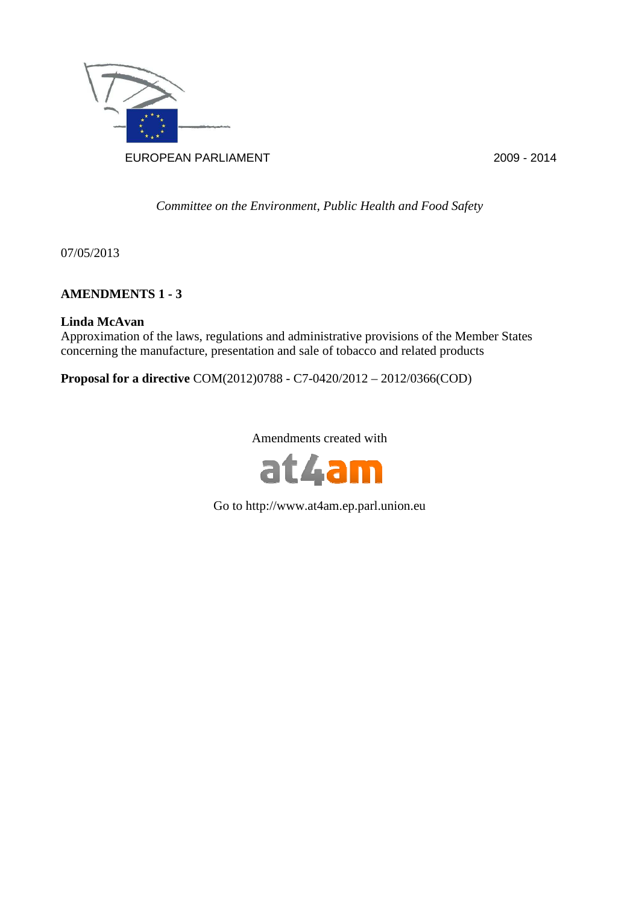

*Committee on the Environment, Public Health and Food Safety* 

07/05/2013

## **AMENDMENTS 1 - 3**

## **Linda McAvan**

Approximation of the laws, regulations and administrative provisions of the Member States concerning the manufacture, presentation and sale of tobacco and related products

**Proposal for a directive** COM(2012)0788 - C7-0420/2012 – 2012/0366(COD)

Amendments created with



Go to http://www.at4am.ep.parl.union.eu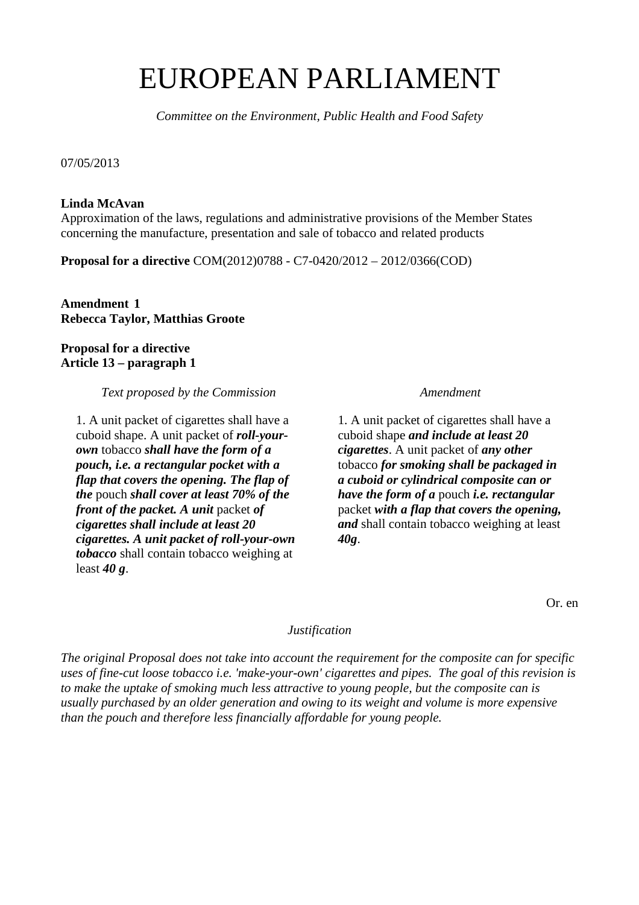# EUROPEAN PARLIAMENT

*Committee on the Environment, Public Health and Food Safety* 

07/05/2013

### **Linda McAvan**

Approximation of the laws, regulations and administrative provisions of the Member States concerning the manufacture, presentation and sale of tobacco and related products

**Proposal for a directive** COM(2012)0788 - C7-0420/2012 – 2012/0366(COD)

**Amendment 1 Rebecca Taylor, Matthias Groote** 

**Proposal for a directive Article 13 – paragraph 1** 

*Text proposed by the Commission* **Amendment** *Amendment* 

1. A unit packet of cigarettes shall have a cuboid shape. A unit packet of *roll-yourown* tobacco *shall have the form of a pouch, i.e. a rectangular pocket with a flap that covers the opening. The flap of the* pouch *shall cover at least 70% of the front of the packet. A unit* packet *of cigarettes shall include at least 20 cigarettes. A unit packet of roll-your-own tobacco* shall contain tobacco weighing at least *40 g*.

1. A unit packet of cigarettes shall have a cuboid shape *and include at least 20 cigarettes*. A unit packet of *any other* tobacco *for smoking shall be packaged in a cuboid or cylindrical composite can or have the form of a* pouch *i.e. rectangular* packet *with a flap that covers the opening, and* shall contain tobacco weighing at least *40g*.

Or. en

#### *Justification*

*The original Proposal does not take into account the requirement for the composite can for specific uses of fine-cut loose tobacco i.e. 'make-your-own' cigarettes and pipes. The goal of this revision is to make the uptake of smoking much less attractive to young people, but the composite can is usually purchased by an older generation and owing to its weight and volume is more expensive than the pouch and therefore less financially affordable for young people.*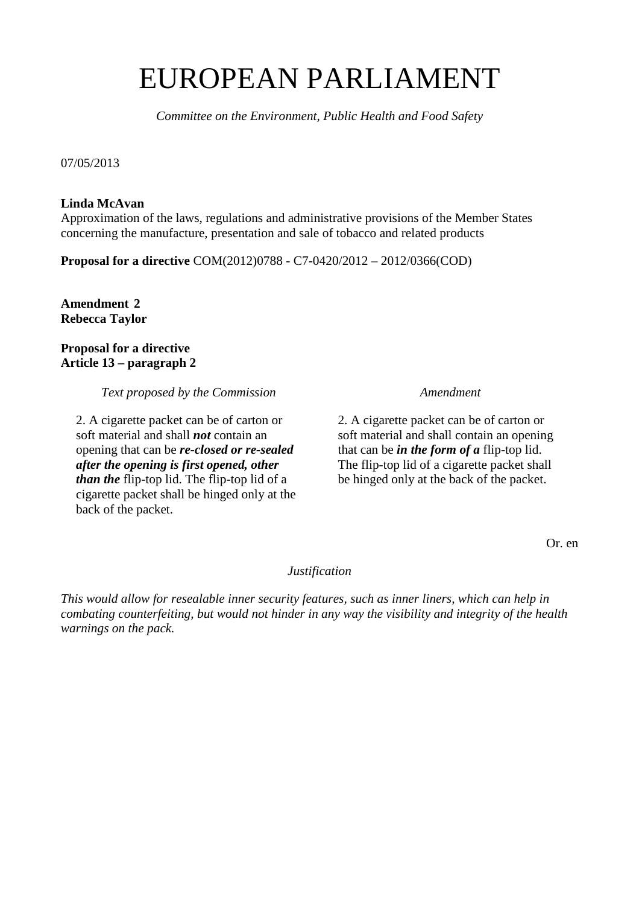# EUROPEAN PARLIAMENT

*Committee on the Environment, Public Health and Food Safety* 

07/05/2013

### **Linda McAvan**

Approximation of the laws, regulations and administrative provisions of the Member States concerning the manufacture, presentation and sale of tobacco and related products

**Proposal for a directive** COM(2012)0788 - C7-0420/2012 – 2012/0366(COD)

**Amendment 2 Rebecca Taylor** 

### **Proposal for a directive Article 13 – paragraph 2**

*Text proposed by the Commission* **Amendment** 

2. A cigarette packet can be of carton or soft material and shall *not* contain an opening that can be *re-closed or re-sealed after the opening is first opened, other than the* flip-top lid. The flip-top lid of a cigarette packet shall be hinged only at the back of the packet.

2. A cigarette packet can be of carton or soft material and shall contain an opening that can be *in the form of a* flip-top lid. The flip-top lid of a cigarette packet shall be hinged only at the back of the packet.

Or. en

*Justification* 

*This would allow for resealable inner security features, such as inner liners, which can help in combating counterfeiting, but would not hinder in any way the visibility and integrity of the health warnings on the pack.*